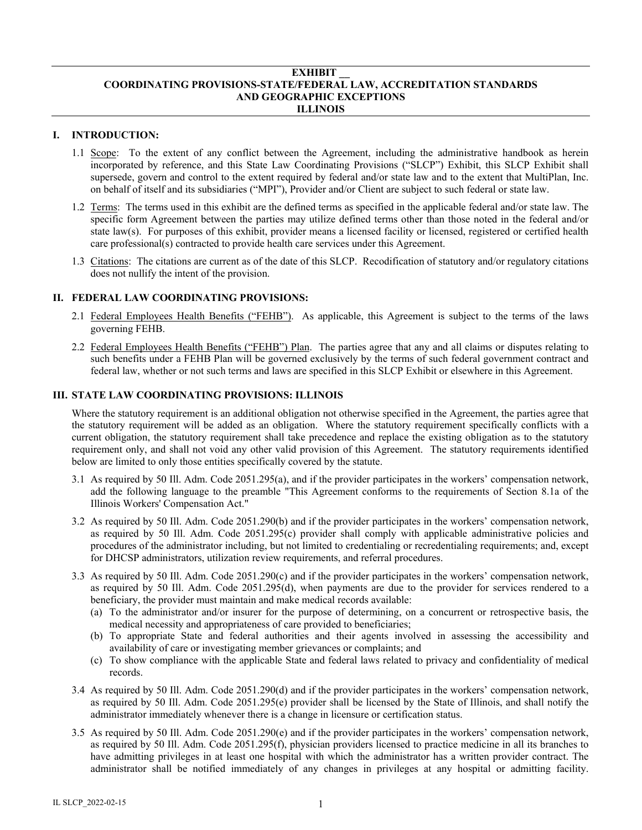#### **EXHIBIT \_\_ COORDINATING PROVISIONS-STATE/FEDERAL LAW, ACCREDITATION STANDARDS AND GEOGRAPHIC EXCEPTIONS ILLINOIS**

# **I. INTRODUCTION:**

- 1.1 Scope: To the extent of any conflict between the Agreement, including the administrative handbook as herein incorporated by reference, and this State Law Coordinating Provisions ("SLCP") Exhibit, this SLCP Exhibit shall supersede, govern and control to the extent required by federal and/or state law and to the extent that MultiPlan, Inc. on behalf of itself and its subsidiaries ("MPI"), Provider and/or Client are subject to such federal or state law.
- 1.2 Terms: The terms used in this exhibit are the defined terms as specified in the applicable federal and/or state law. The specific form Agreement between the parties may utilize defined terms other than those noted in the federal and/or state law(s). For purposes of this exhibit, provider means a licensed facility or licensed, registered or certified health care professional(s) contracted to provide health care services under this Agreement.
- 1.3 Citations: The citations are current as of the date of this SLCP. Recodification of statutory and/or regulatory citations does not nullify the intent of the provision.

#### **II. FEDERAL LAW COORDINATING PROVISIONS:**

- 2.1 Federal Employees Health Benefits ("FEHB"). As applicable, this Agreement is subject to the terms of the laws governing FEHB.
- 2.2 Federal Employees Health Benefits ("FEHB") Plan. The parties agree that any and all claims or disputes relating to such benefits under a FEHB Plan will be governed exclusively by the terms of such federal government contract and federal law, whether or not such terms and laws are specified in this SLCP Exhibit or elsewhere in this Agreement.

## **III. STATE LAW COORDINATING PROVISIONS: ILLINOIS**

Where the statutory requirement is an additional obligation not otherwise specified in the Agreement, the parties agree that the statutory requirement will be added as an obligation. Where the statutory requirement specifically conflicts with a current obligation, the statutory requirement shall take precedence and replace the existing obligation as to the statutory requirement only, and shall not void any other valid provision of this Agreement. The statutory requirements identified below are limited to only those entities specifically covered by the statute.

- 3.1 As required by 50 Ill. Adm. Code 2051.295(a), and if the provider participates in the workers' compensation network, add the following language to the preamble "This Agreement conforms to the requirements of Section 8.1a of the Illinois Workers' Compensation Act."
- 3.2 As required by 50 Ill. Adm. Code 2051.290(b) and if the provider participates in the workers' compensation network, as required by 50 Ill. Adm. Code 2051.295(c) provider shall comply with applicable administrative policies and procedures of the administrator including, but not limited to credentialing or recredentialing requirements; and, except for DHCSP administrators, utilization review requirements, and referral procedures.
- 3.3 As required by 50 Ill. Adm. Code 2051.290(c) and if the provider participates in the workers' compensation network, as required by 50 Ill. Adm. Code 2051.295(d), when payments are due to the provider for services rendered to a beneficiary, the provider must maintain and make medical records available:
	- (a) To the administrator and/or insurer for the purpose of determining, on a concurrent or retrospective basis, the medical necessity and appropriateness of care provided to beneficiaries;
	- (b) To appropriate State and federal authorities and their agents involved in assessing the accessibility and availability of care or investigating member grievances or complaints; and
	- (c) To show compliance with the applicable State and federal laws related to privacy and confidentiality of medical records.
- 3.4 As required by 50 Ill. Adm. Code 2051.290(d) and if the provider participates in the workers' compensation network, as required by 50 Ill. Adm. Code 2051.295(e) provider shall be licensed by the State of Illinois, and shall notify the administrator immediately whenever there is a change in licensure or certification status.
- 3.5 As required by 50 Ill. Adm. Code 2051.290(e) and if the provider participates in the workers' compensation network, as required by 50 Ill. Adm. Code 2051.295(f), physician providers licensed to practice medicine in all its branches to have admitting privileges in at least one hospital with which the administrator has a written provider contract. The administrator shall be notified immediately of any changes in privileges at any hospital or admitting facility.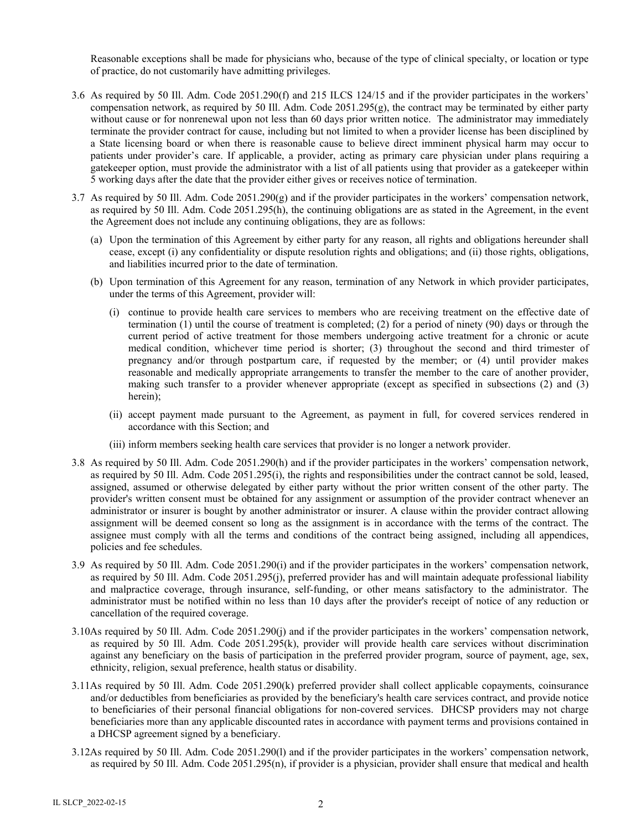Reasonable exceptions shall be made for physicians who, because of the type of clinical specialty, or location or type of practice, do not customarily have admitting privileges.

- 3.6 As required by 50 Ill. Adm. Code 2051.290(f) and 215 ILCS 124/15 and if the provider participates in the workers' compensation network, as required by 50 Ill. Adm. Code  $2051.295(g)$ , the contract may be terminated by either party without cause or for nonrenewal upon not less than 60 days prior written notice. The administrator may immediately terminate the provider contract for cause, including but not limited to when a provider license has been disciplined by a State licensing board or when there is reasonable cause to believe direct imminent physical harm may occur to patients under provider's care. If applicable, a provider, acting as primary care physician under plans requiring a gatekeeper option, must provide the administrator with a list of all patients using that provider as a gatekeeper within 5 working days after the date that the provider either gives or receives notice of termination.
- 3.7 As required by 50 Ill. Adm. Code  $2051.290(g)$  and if the provider participates in the workers' compensation network, as required by 50 Ill. Adm. Code 2051.295(h), the continuing obligations are as stated in the Agreement, in the event the Agreement does not include any continuing obligations, they are as follows:
	- (a) Upon the termination of this Agreement by either party for any reason, all rights and obligations hereunder shall cease, except (i) any confidentiality or dispute resolution rights and obligations; and (ii) those rights, obligations, and liabilities incurred prior to the date of termination.
	- (b) Upon termination of this Agreement for any reason, termination of any Network in which provider participates, under the terms of this Agreement, provider will:
		- (i) continue to provide health care services to members who are receiving treatment on the effective date of termination (1) until the course of treatment is completed; (2) for a period of ninety (90) days or through the current period of active treatment for those members undergoing active treatment for a chronic or acute medical condition, whichever time period is shorter; (3) throughout the second and third trimester of pregnancy and/or through postpartum care, if requested by the member; or (4) until provider makes reasonable and medically appropriate arrangements to transfer the member to the care of another provider, making such transfer to a provider whenever appropriate (except as specified in subsections (2) and (3) herein);
		- (ii) accept payment made pursuant to the Agreement, as payment in full, for covered services rendered in accordance with this Section; and
		- (iii) inform members seeking health care services that provider is no longer a network provider.
- 3.8 As required by 50 Ill. Adm. Code 2051.290(h) and if the provider participates in the workers' compensation network, as required by 50 Ill. Adm. Code 2051.295(i), the rights and responsibilities under the contract cannot be sold, leased, assigned, assumed or otherwise delegated by either party without the prior written consent of the other party. The provider's written consent must be obtained for any assignment or assumption of the provider contract whenever an administrator or insurer is bought by another administrator or insurer. A clause within the provider contract allowing assignment will be deemed consent so long as the assignment is in accordance with the terms of the contract. The assignee must comply with all the terms and conditions of the contract being assigned, including all appendices, policies and fee schedules.
- 3.9 As required by 50 Ill. Adm. Code 2051.290(i) and if the provider participates in the workers' compensation network, as required by 50 Ill. Adm. Code 2051.295(j), preferred provider has and will maintain adequate professional liability and malpractice coverage, through insurance, self-funding, or other means satisfactory to the administrator. The administrator must be notified within no less than 10 days after the provider's receipt of notice of any reduction or cancellation of the required coverage.
- 3.10As required by 50 Ill. Adm. Code 2051.290(j) and if the provider participates in the workers' compensation network, as required by 50 Ill. Adm. Code 2051.295(k), provider will provide health care services without discrimination against any beneficiary on the basis of participation in the preferred provider program, source of payment, age, sex, ethnicity, religion, sexual preference, health status or disability.
- 3.11As required by 50 Ill. Adm. Code 2051.290(k) preferred provider shall collect applicable copayments, coinsurance and/or deductibles from beneficiaries as provided by the beneficiary's health care services contract, and provide notice to beneficiaries of their personal financial obligations for non-covered services. DHCSP providers may not charge beneficiaries more than any applicable discounted rates in accordance with payment terms and provisions contained in a DHCSP agreement signed by a beneficiary.
- 3.12As required by 50 Ill. Adm. Code 2051.290(l) and if the provider participates in the workers' compensation network, as required by 50 Ill. Adm. Code 2051.295(n), if provider is a physician, provider shall ensure that medical and health